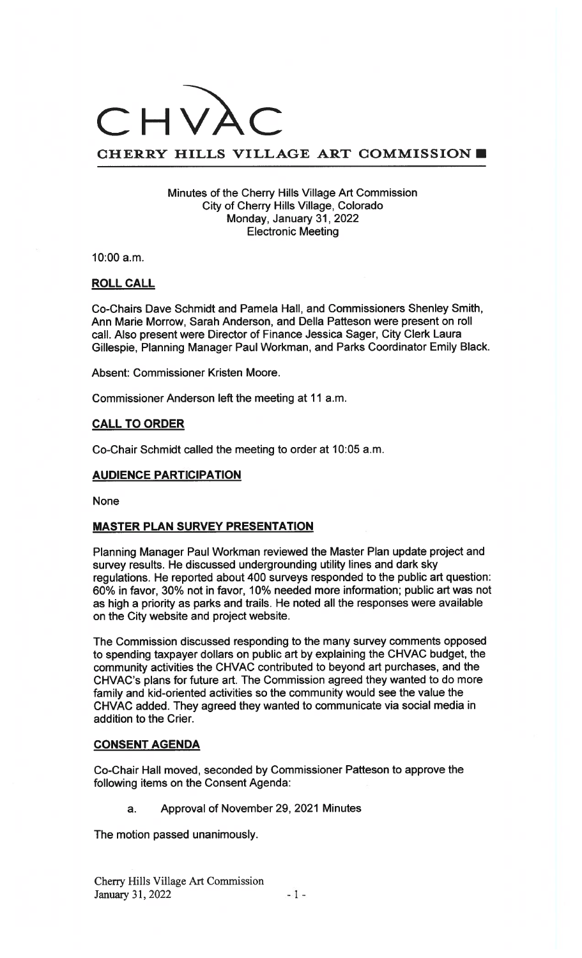# CHV.

# CHERRY HILLS VILLAGE ART COMMISSION

#### Minutes of the Cherry Hills Village Art Commission City of Cherry Hills Village, Colorado Monday, January 31, 2022 Electronic Meeting

10:00 a.m.

#### ROLL CALL

Co-Chairs Dave Schmidt and Pamela Hall, and Commissioners Shenley Smith, Ann Marie Morrow, Sarah Anderson, and Della Patteson were present on roll call. Also present were Director of Finance Jessica Sager, City Clerk Laura Gillespie, Planning Manager Paul Workman, and Parks Coordinator Emily Black.

Absent: Commissioner Kristen Moore.

Commissioner Anderson left the meeting at 11 a.m.

#### CALL TO ORDER

Co-Chair Schmidt called the meeting to order at 10:05 a.m.

## AUDIENCE PARTICIPATION

None

#### MASTER PLAN SURVEY PRESENTATION

Planning Manager Paul Workman reviewed the Master Plan update project and survey results. He discussed undergrounding utility lines and dark sky regulations. He reported about 400 surveys responded to the public art question: 60% in favor, 30% not in favor, 10% needed more information; public art was not as high a priority as parks and trails. He noted all the responses were available on the City website and project website.

The Commission discussed responding to the many survey comments opposed to spending taxpayer dollars on public art by explaining the CHVAC budget, the community activities the CHVAC contributed to beyond art purchases, and the CHVAC's plans for future art. The Commission agreed they wanted to do more family and kid-oriented activities so the community would see the value the CHVAC added. They agreed they wanted to communicate via social media in addition to the Crier.

#### CONSENT AGENDA

Co-Chair Hall moved, seconded by Commissioner Patteson to approve the following items on the Consent Agenda:

a. Approval of November 29, 2021 Minutes

The motion passed unanimously.

Cherry Hills Village Art Commission January 31, 2022 —1—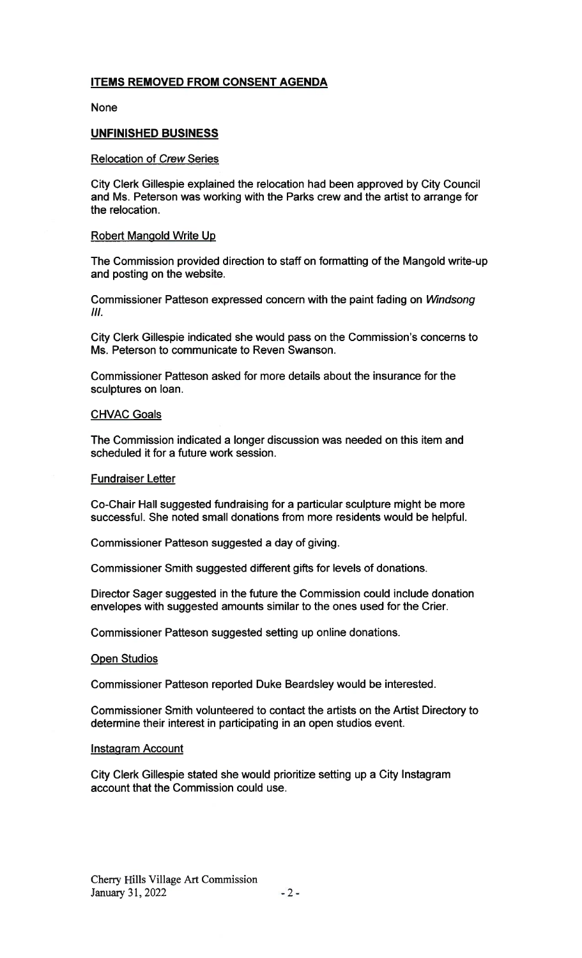## ITEMS REMOVED FROM CONSENT AGENDA

None

## UNFINISHED BUSINESS

#### Relocation of Crew Series

City Clerk Gillespie explained the relocation had been approved by City Council and Ms. Peterson was working with the Parks crew and the artist to arrange for the relocation.

#### Robert Mangold Write Up

The Commission provided direction to staff on formatting of the Mangold write-up and posting on the website.

Commissioner Patteson expressed concern with the paint fading on Windsong III.

City Clerk Gillespie indicated she would pass on the Commission's concerns to Ms. Peterson to communicate to Reven Swanson.

Commissioner Patteson asked for more details about the insurance for the sculptures on loan.

#### **CHVAC Goals**

The Commission indicated a longer discussion was needed on this item and scheduled it for a future work session.

#### Fundraiser Letter

Co-Chair Hall suggested fundraising for a particular sculpture might be more successful. She noted small donations from more residents would be helpful.

Commissioner Patteson suggested a day of giving.

Commissioner Smith suggested different gifts for levels of donations.

Director Sager suggested in the future the Commission could include donation envelopes with suggested amounts similar to the ones used for the Crier.

Commissioner Patteson suggested setting up online donations.

#### Open Studios

Commissioner Patteson reported Duke Beardsley would be interested.

Commissioner Smith volunteered to contact the artists on the Artist Directory to determine their interest in participating in an open studios event.

#### Instagram Account

City Clerk Gillespie stated she would prioritize setting up a City Instagram account that the Commission could use.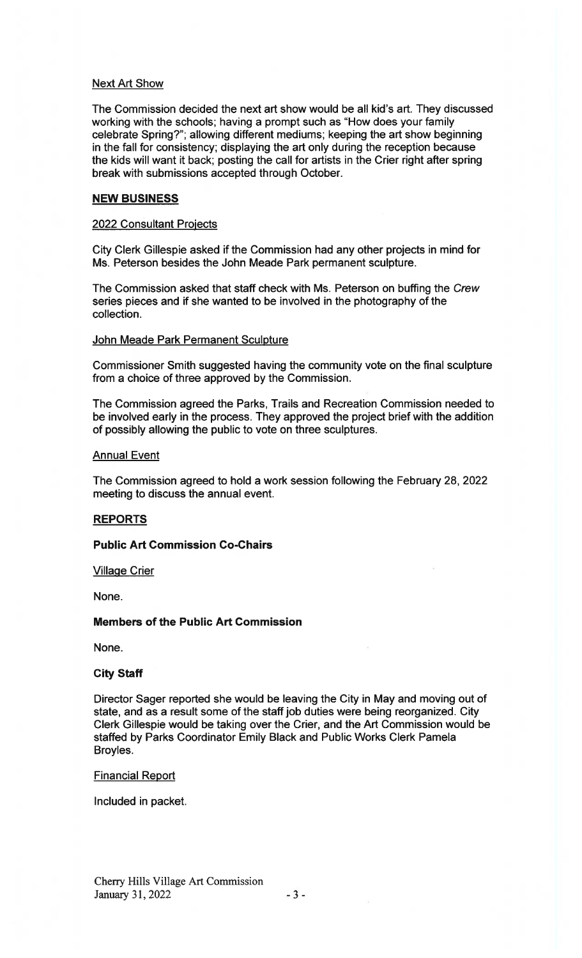#### Next Art Show

The Commission decided the next art show would be all kid's art. They discussed working with the schools; having a prompt such as "How does your family celebrate Spring?"; allowing different mediums; keeping the art show beginning in the fall for consistency; displaying the art only during the reception because the kids will want it back; posting the call for artists in the Crier right after spring break with submissions accepted through October.

#### NEW BUSINESS

#### 2022 Consultant Projects

City Clerk Gillespie asked if the Commission had any other projects in mind for Ms. Peterson besides the John Meade Park permanent sculpture.

The Commission asked that staff check with Ms. Peterson on buffing the Crew series pieces and if she wanted to be involved in the photography of the collection.

#### John Meade Park Permanent Sculpture

Commissioner Smith suggested having the community vote on the final sculpture from a choice of three approved by the Commission.

The Commission agreed the Parks, Trails and Recreation Commission needed to be involved early in the process. They approved the project brief with the addition of possibly allowing the public to vote on three sculptures.

#### **Annual Event**

The Commission agreed to hold a work session following the February 28, 2022 meeting to discuss the annual event.

## **REPORTS**

## Public Art Commission Co-Chairs

#### **Village Crier**

None.

## Members of the Public Art Commission

None.

#### City Staff

Director Sager reported she would be leaving the City in May and moving out of state, and as a result some of the staff job duties were being reorganized. City Clerk Gillespie would be taking over the Crier, and the Art Commission would be staffed by Parks Coordinator Emily Black and Public Works Clerk Pamela Broyles.

#### Financial Report

Included in packet.